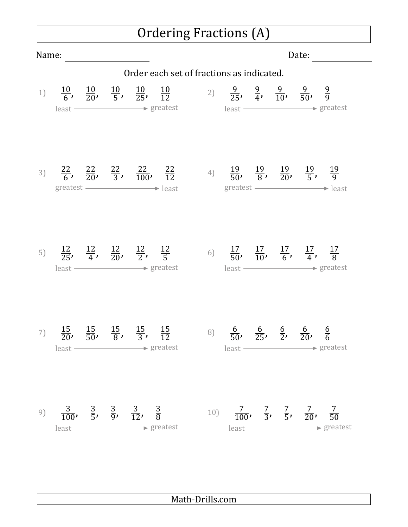## Ordering Fractions (A)